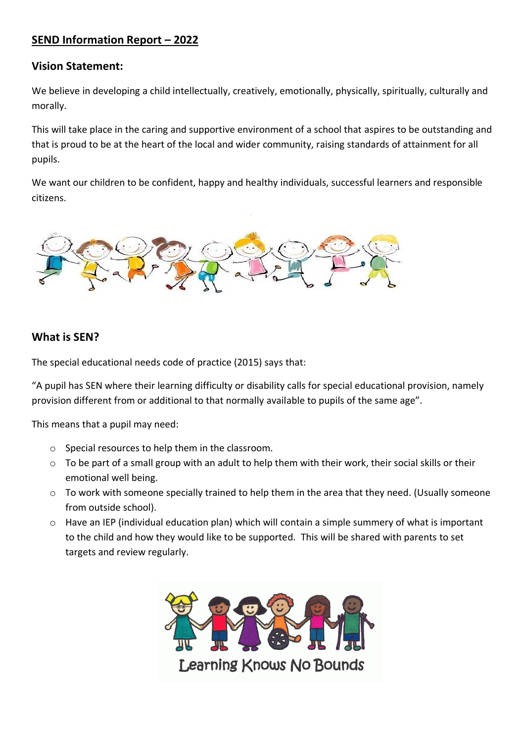# **SEND Information Report – 2022**

### **Vision Statement:**

We believe in developing a child intellectually, creatively, emotionally, physically, spiritually, culturally and morally.

This will take place in the caring and supportive environment of a school that aspires to be outstanding and that is proud to be at the heart of the local and wider community, raising standards of attainment for all pupils.

We want our children to be confident, happy and healthy individuals, successful learners and responsible citizens.



# **What is SEN?**

The special educational needs code of practice (2015) says that:

"A pupil has SEN where their learning difficulty or disability calls for special educational provision, namely provision different from or additional to that normally available to pupils of the same age".

This means that a pupil may need:

- o Special resources to help them in the classroom.
- o To be part of a small group with an adult to help them with their work, their social skills or their emotional well being.
- o To work with someone specially trained to help them in the area that they need. (Usually someone from outside school).
- o Have an IEP (individual education plan) which will contain a simple summery of what is important to the child and how they would like to be supported. This will be shared with parents to set targets and review regularly.

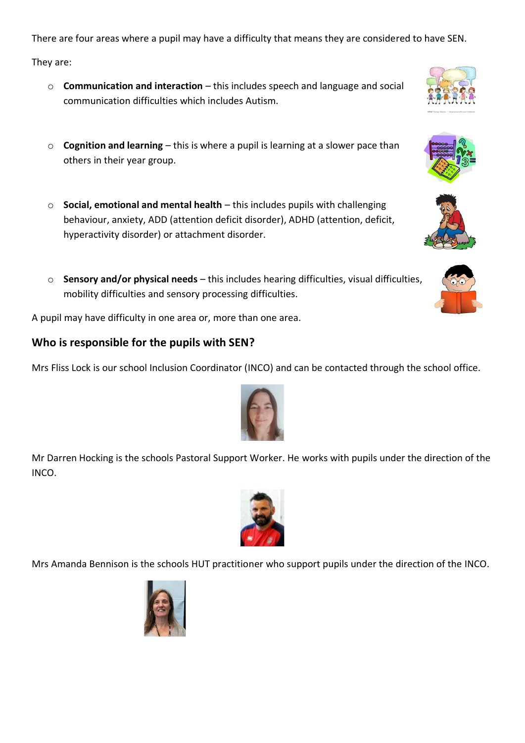There are four areas where a pupil may have a difficulty that means they are considered to have SEN.

They are:

- o **Communication and interaction** this includes speech and language and social communication difficulties which includes Autism.
- o **Cognition and learning**  this is where a pupil is learning at a slower pace than others in their year group.
- o **Social, emotional and mental health** this includes pupils with challenging behaviour, anxiety, ADD (attention deficit disorder), ADHD (attention, deficit, hyperactivity disorder) or attachment disorder.
- o **Sensory and/or physical needs**  this includes hearing difficulties, visual difficulties, mobility difficulties and sensory processing difficulties.

A pupil may have difficulty in one area or, more than one area.

# **Who is responsible for the pupils with SEN?**

Mrs Fliss Lock is our school Inclusion Coordinator (INCO) and can be contacted through the school office.

Mr Darren Hocking is the schools Pastoral Support Worker. He works with pupils under the direction of the INCO.

Mrs Amanda Bennison is the schools HUT practitioner who support pupils under the direction of the INCO.













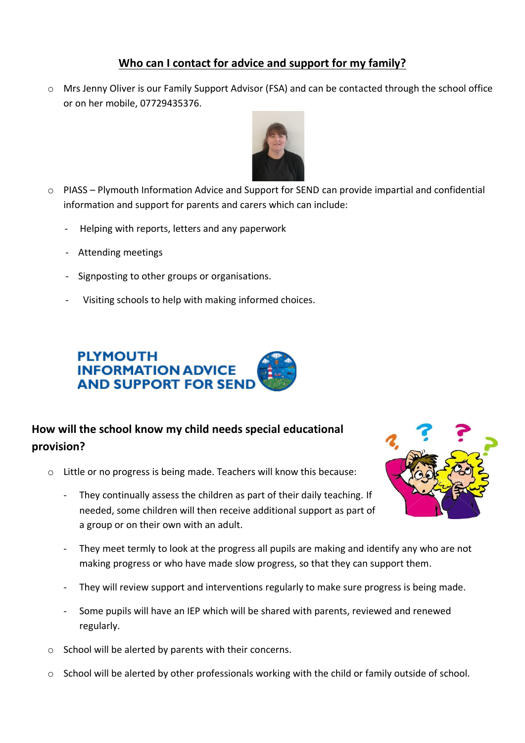# **Who can I contact for advice and support for my family?**

o Mrs Jenny Oliver is our Family Support Advisor (FSA) and can be contacted through the school office or on her mobile, 07729435376.



- o PIASS Plymouth Information Advice and Support for SEND can provide impartial and confidential information and support for parents and carers which can include:
	- Helping with reports, letters and any paperwork
	- Attending meetings
	- Signposting to other groups or organisations.
	- Visiting schools to help with making informed choices.



# **How will the school know my child needs special educational provision?**

- o Little or no progress is being made. Teachers will know this because:
	- They continually assess the children as part of their daily teaching. If needed, some children will then receive additional support as part of a group or on their own with an adult.



- They meet termly to look at the progress all pupils are making and identify any who are not making progress or who have made slow progress, so that they can support them.
- They will review support and interventions regularly to make sure progress is being made.
- Some pupils will have an IEP which will be shared with parents, reviewed and renewed regularly.
- o School will be alerted by parents with their concerns.
- o School will be alerted by other professionals working with the child or family outside of school.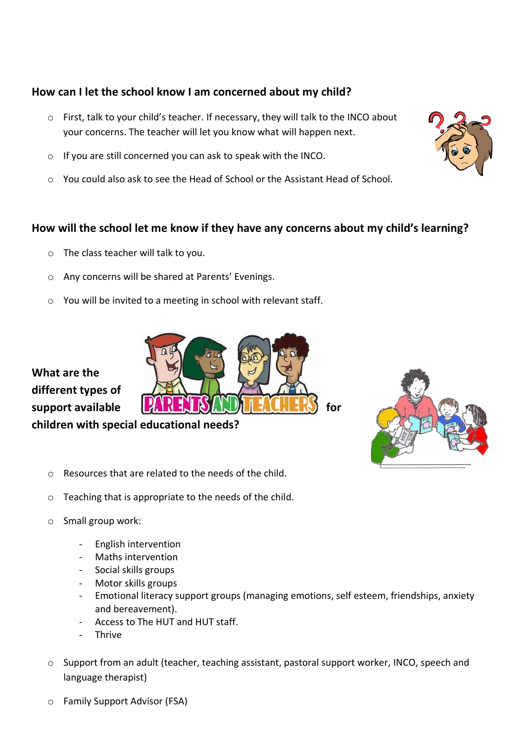# **How can I let the school know I am concerned about my child?**

- o First, talk to your child's teacher. If necessary, they will talk to the INCO about your concerns. The teacher will let you know what will happen next.
- o If you are still concerned you can ask to speak with the INCO.
- o You could also ask to see the Head of School or the Assistant Head of School.

# **How will the school let me know if they have any concerns about my child's learning?**

- o The class teacher will talk to you.
- o Any concerns will be shared at Parents' Evenings.
- o You will be invited to a meeting in school with relevant staff.

**What are the different types of support available FARKER FORARLATE FALMERS** for

**children with special educational needs?**

- o Resources that are related to the needs of the child.
- o Teaching that is appropriate to the needs of the child.
- o Small group work:
	- English intervention
	- Maths intervention
	- Social skills groups
	- Motor skills groups
	- Emotional literacy support groups (managing emotions, self esteem, friendships, anxiety and bereavement).
	- Access to The HUT and HUT staff.
	- **Thrive**
- o Support from an adult (teacher, teaching assistant, pastoral support worker, INCO, speech and language therapist)
- o Family Support Advisor (FSA)



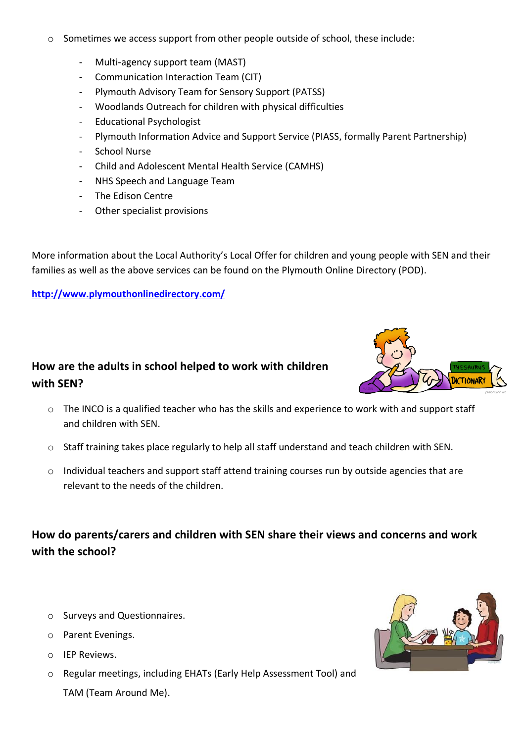- o Sometimes we access support from other people outside of school, these include:
	- Multi-agency support team (MAST)
	- Communication Interaction Team (CIT)
	- Plymouth Advisory Team for Sensory Support (PATSS)
	- Woodlands Outreach for children with physical difficulties
	- Educational Psychologist
	- Plymouth Information Advice and Support Service (PIASS, formally Parent Partnership)
	- School Nurse
	- Child and Adolescent Mental Health Service (CAMHS)
	- NHS Speech and Language Team
	- The Edison Centre
	- Other specialist provisions

More information about the Local Authority's Local Offer for children and young people with SEN and their families as well as the above services can be found on the Plymouth Online Directory (POD).

#### **<http://www.plymouthonlinedirectory.com/>**

# **How are the adults in school helped to work with children with SEN?**

- $\circ$  The INCO is a qualified teacher who has the skills and experience to work with and support staff and children with SEN.
- o Staff training takes place regularly to help all staff understand and teach children with SEN.
- o Individual teachers and support staff attend training courses run by outside agencies that are relevant to the needs of the children.

**How do parents/carers and children with SEN share their views and concerns and work with the school?**

- o Surveys and Questionnaires.
- o Parent Evenings.
- o IEP Reviews.
- o Regular meetings, including EHATs (Early Help Assessment Tool) and

TAM (Team Around Me).



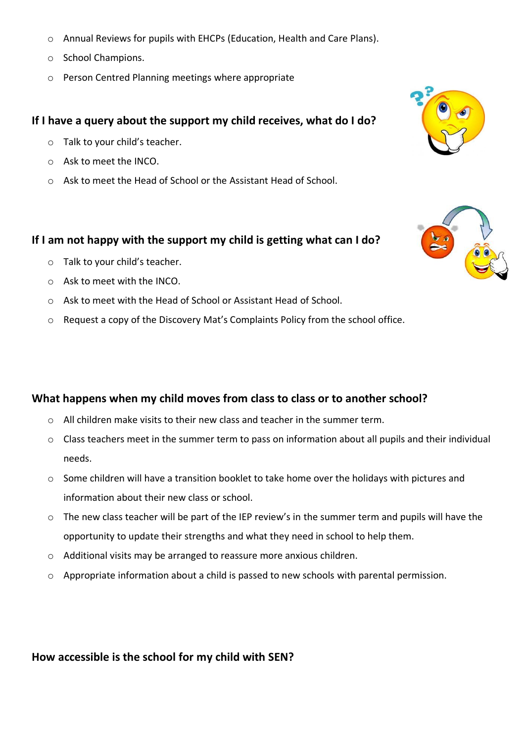- o Annual Reviews for pupils with EHCPs (Education, Health and Care Plans).
- o School Champions.
- o Person Centred Planning meetings where appropriate

### **If I have a query about the support my child receives, what do I do?**

- o Talk to your child's teacher.
- o Ask to meet the INCO.
- o Ask to meet the Head of School or the Assistant Head of School.

#### **If I am not happy with the support my child is getting what can I do?**

- o Talk to your child's teacher.
- o Ask to meet with the INCO.
- o Ask to meet with the Head of School or Assistant Head of School.
- o Request a copy of the Discovery Mat's Complaints Policy from the school office.

### **What happens when my child moves from class to class or to another school?**

- $\circ$  All children make visits to their new class and teacher in the summer term.
- o Class teachers meet in the summer term to pass on information about all pupils and their individual needs.
- o Some children will have a transition booklet to take home over the holidays with pictures and information about their new class or school.
- o The new class teacher will be part of the IEP review's in the summer term and pupils will have the opportunity to update their strengths and what they need in school to help them.
- o Additional visits may be arranged to reassure more anxious children.
- o Appropriate information about a child is passed to new schools with parental permission.

### **How accessible is the school for my child with SEN?**